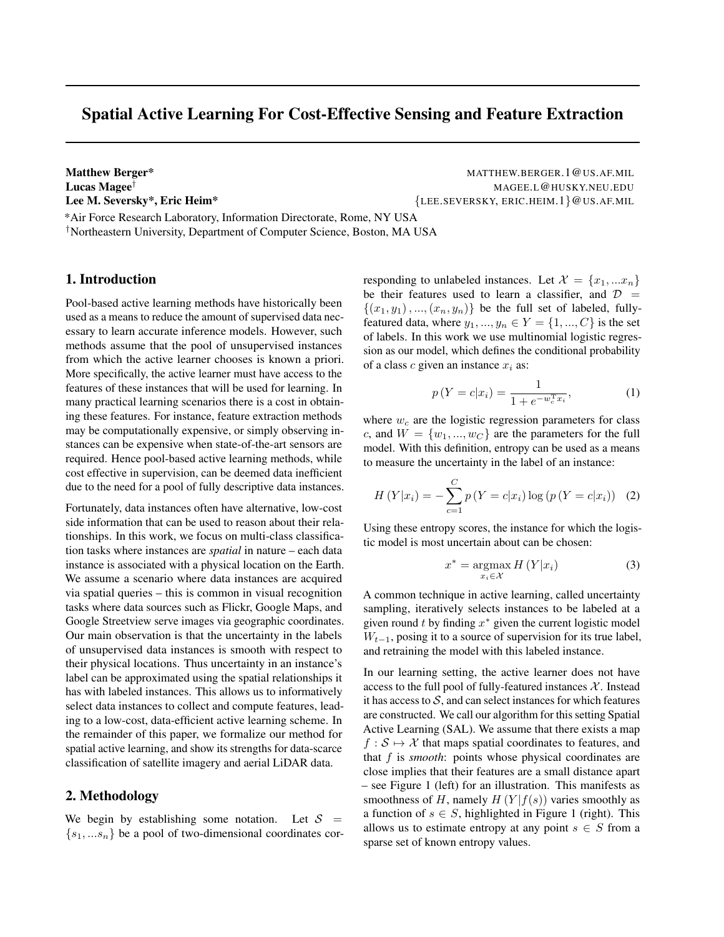# Spatial Active Learning For Cost-Effective Sensing and Feature Extraction

Matthew Berger\* The Matthew Berger MATTHEW.BERGER.1 @US.AF.MIL **Lucas Magee<sup>†</sup>** MAGEE.L@HUSKY.NEU.EDU Lee M. Seversky\*, Eric Heim\* {LEE.SEVERSKY, ERIC.HEIM.1}@US.AF.MIL

\*Air Force Research Laboratory, Information Directorate, Rome, NY USA †Northeastern University, Department of Computer Science, Boston, MA USA

# 1. Introduction

Pool-based active learning methods have historically been used as a means to reduce the amount of supervised data necessary to learn accurate inference models. However, such methods assume that the pool of unsupervised instances from which the active learner chooses is known a priori. More specifically, the active learner must have access to the features of these instances that will be used for learning. In many practical learning scenarios there is a cost in obtaining these features. For instance, feature extraction methods may be computationally expensive, or simply observing instances can be expensive when state-of-the-art sensors are required. Hence pool-based active learning methods, while cost effective in supervision, can be deemed data inefficient due to the need for a pool of fully descriptive data instances.

Fortunately, data instances often have alternative, low-cost side information that can be used to reason about their relationships. In this work, we focus on multi-class classification tasks where instances are *spatial* in nature – each data instance is associated with a physical location on the Earth. We assume a scenario where data instances are acquired via spatial queries – this is common in visual recognition tasks where data sources such as Flickr, Google Maps, and Google Streetview serve images via geographic coordinates. Our main observation is that the uncertainty in the labels of unsupervised data instances is smooth with respect to their physical locations. Thus uncertainty in an instance's label can be approximated using the spatial relationships it has with labeled instances. This allows us to informatively select data instances to collect and compute features, leading to a low-cost, data-efficient active learning scheme. In the remainder of this paper, we formalize our method for spatial active learning, and show its strengths for data-scarce classification of satellite imagery and aerial LiDAR data.

#### 2. Methodology

We begin by establishing some notation. Let  $S =$  ${s_1,...s_n}$  be a pool of two-dimensional coordinates corresponding to unlabeled instances. Let  $\mathcal{X} = \{x_1, ... x_n\}$ be their features used to learn a classifier, and  $D =$  $\{(x_1,y_1),...,(x_n,y_n)\}\)$  be the full set of labeled, fullyfeatured data, where  $y_1, ..., y_n \in Y = \{1, ..., C\}$  is the set of labels. In this work we use multinomial logistic regression as our model, which defines the conditional probability of a class  $c$  given an instance  $x_i$  as:

$$
p(Y = c|x_i) = \frac{1}{1 + e^{-w_c^T x_i}},
$$
\n(1)

where  $w_c$  are the logistic regression parameters for class c, and  $W = \{w_1, ..., w_C\}$  are the parameters for the full model. With this definition, entropy can be used as a means to measure the uncertainty in the label of an instance:

$$
H(Y|x_i) = -\sum_{c=1}^{C} p(Y = c|x_i) \log (p(Y = c|x_i)) \quad (2)
$$

Using these entropy scores, the instance for which the logistic model is most uncertain about can be chosen:

$$
x^* = \underset{x_i \in \mathcal{X}}{\operatorname{argmax}} H\left(Y|x_i\right) \tag{3}
$$

A common technique in active learning, called uncertainty sampling, iteratively selects instances to be labeled at a given round  $t$  by finding  $x^*$  given the current logistic model  $W_{t-1}$ , posing it to a source of supervision for its true label, and retraining the model with this labeled instance.

In our learning setting, the active learner does not have access to the full pool of fully-featured instances  $X$ . Instead it has access to  $S$ , and can select instances for which features are constructed. We call our algorithm for this setting Spatial Active Learning (SAL). We assume that there exists a map  $f : \mathcal{S} \mapsto \mathcal{X}$  that maps spatial coordinates to features, and that f is *smooth*: points whose physical coordinates are close implies that their features are a small distance apart – see Figure 1 (left) for an illustration. This manifests as smoothness of H, namely  $H(Y|f(s))$  varies smoothly as a function of  $s \in S$ , highlighted in Figure 1 (right). This allows us to estimate entropy at any point  $s \in S$  from a sparse set of known entropy values.